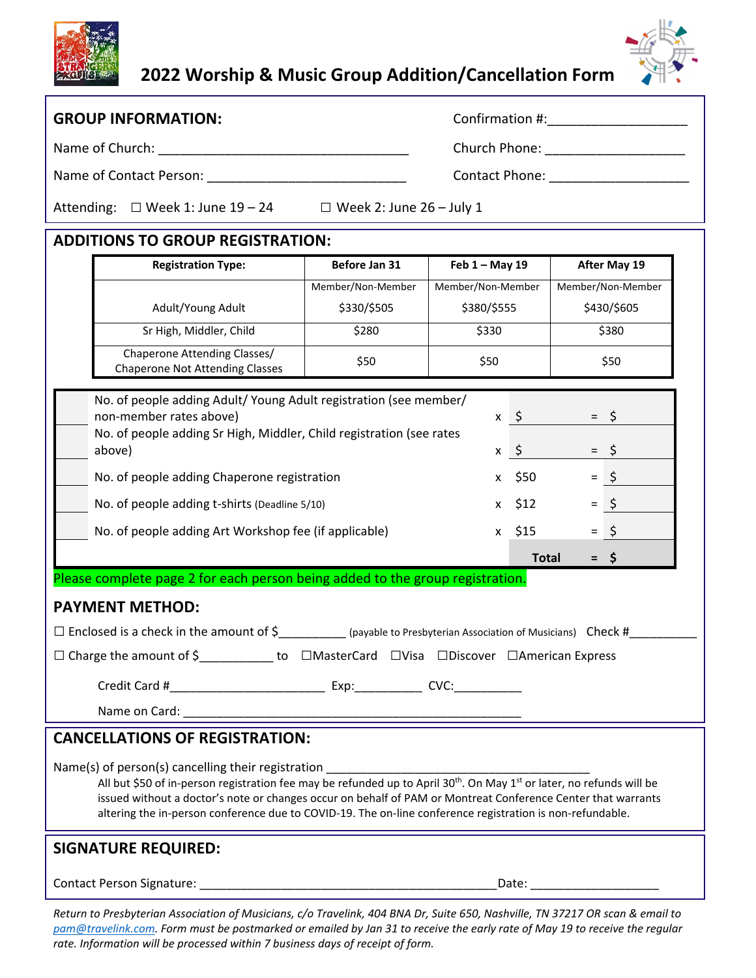## **2022 Worship & Music Group Addition/Cancellation Form**



| <b>GROUP INFORMATION:</b>                                                                                                                                                                                                                                                                                                                                                                                                        |                                     |                                                                                                                                                                                                                                |              |              |                   |
|----------------------------------------------------------------------------------------------------------------------------------------------------------------------------------------------------------------------------------------------------------------------------------------------------------------------------------------------------------------------------------------------------------------------------------|-------------------------------------|--------------------------------------------------------------------------------------------------------------------------------------------------------------------------------------------------------------------------------|--------------|--------------|-------------------|
|                                                                                                                                                                                                                                                                                                                                                                                                                                  | Church Phone: _____________________ |                                                                                                                                                                                                                                |              |              |                   |
| Name of Contact Person: Name of Contact Person:                                                                                                                                                                                                                                                                                                                                                                                  |                                     |                                                                                                                                                                                                                                |              |              |                   |
| Attending: $\Box$ Week 1: June 19 - 24 $\Box$ Week 2: June 26 - July 1                                                                                                                                                                                                                                                                                                                                                           |                                     |                                                                                                                                                                                                                                |              |              |                   |
| <b>ADDITIONS TO GROUP REGISTRATION:</b>                                                                                                                                                                                                                                                                                                                                                                                          |                                     |                                                                                                                                                                                                                                |              |              |                   |
| <b>Registration Type:</b>                                                                                                                                                                                                                                                                                                                                                                                                        | Before Jan 31                       | Feb $1 - May 19$                                                                                                                                                                                                               |              | After May 19 |                   |
|                                                                                                                                                                                                                                                                                                                                                                                                                                  | Member/Non-Member                   | Member/Non-Member                                                                                                                                                                                                              |              |              | Member/Non-Member |
| Adult/Young Adult                                                                                                                                                                                                                                                                                                                                                                                                                | \$330/\$505                         | \$380/\$555                                                                                                                                                                                                                    |              | \$430/\$605  |                   |
| Sr High, Middler, Child                                                                                                                                                                                                                                                                                                                                                                                                          | \$280                               | \$330                                                                                                                                                                                                                          |              | \$380        |                   |
| Chaperone Attending Classes/<br><b>Chaperone Not Attending Classes</b>                                                                                                                                                                                                                                                                                                                                                           | \$50                                | \$50                                                                                                                                                                                                                           |              | \$50         |                   |
| No. of people adding Adult/ Young Adult registration (see member/                                                                                                                                                                                                                                                                                                                                                                |                                     |                                                                                                                                                                                                                                |              |              |                   |
| non-member rates above)                                                                                                                                                                                                                                                                                                                                                                                                          |                                     | $x \in$                                                                                                                                                                                                                        |              |              | $=$ \$            |
| No. of people adding Sr High, Middler, Child registration (see rates<br>above)                                                                                                                                                                                                                                                                                                                                                   |                                     |                                                                                                                                                                                                                                | $x \quad$    |              | $=$ \$            |
| No. of people adding Chaperone registration                                                                                                                                                                                                                                                                                                                                                                                      |                                     |                                                                                                                                                                                                                                | x \$50       |              | $=$ \$            |
| No. of people adding t-shirts (Deadline 5/10)                                                                                                                                                                                                                                                                                                                                                                                    |                                     |                                                                                                                                                                                                                                | x \$12       |              | $=$ \$            |
| No. of people adding Art Workshop fee (if applicable)                                                                                                                                                                                                                                                                                                                                                                            |                                     |                                                                                                                                                                                                                                | $x$ \$15     |              | $=$ \$            |
|                                                                                                                                                                                                                                                                                                                                                                                                                                  |                                     |                                                                                                                                                                                                                                | <b>Total</b> |              | $=$ \$            |
| Please complete page 2 for each person being added to the group registration.                                                                                                                                                                                                                                                                                                                                                    |                                     |                                                                                                                                                                                                                                |              |              |                   |
| <b>PAYMENT METHOD:</b>                                                                                                                                                                                                                                                                                                                                                                                                           |                                     |                                                                                                                                                                                                                                |              |              |                   |
| $\Box$ Enclosed is a check in the amount of $\zeta$ ___________ (payable to Presbyterian Association of Musicians) Check #                                                                                                                                                                                                                                                                                                       |                                     |                                                                                                                                                                                                                                |              |              |                   |
| □ Charge the amount of \$_____________ to □MasterCard □Visa □Discover □American Express                                                                                                                                                                                                                                                                                                                                          |                                     |                                                                                                                                                                                                                                |              |              |                   |
|                                                                                                                                                                                                                                                                                                                                                                                                                                  |                                     |                                                                                                                                                                                                                                |              |              |                   |
|                                                                                                                                                                                                                                                                                                                                                                                                                                  |                                     |                                                                                                                                                                                                                                |              |              |                   |
| <b>CANCELLATIONS OF REGISTRATION:</b>                                                                                                                                                                                                                                                                                                                                                                                            |                                     |                                                                                                                                                                                                                                |              |              |                   |
| Name(s) of person(s) cancelling their registration<br>All but \$50 of in-person registration fee may be refunded up to April 30 <sup>th</sup> . On May 1 <sup>st</sup> or later, no refunds will be<br>issued without a doctor's note or changes occur on behalf of PAM or Montreat Conference Center that warrants<br>altering the in-person conference due to COVID-19. The on-line conference registration is non-refundable. |                                     |                                                                                                                                                                                                                                |              |              |                   |
| <b>SIGNATURE REQUIRED:</b>                                                                                                                                                                                                                                                                                                                                                                                                       |                                     |                                                                                                                                                                                                                                |              |              |                   |
|                                                                                                                                                                                                                                                                                                                                                                                                                                  |                                     |                                                                                                                                                                                                                                |              |              |                   |
|                                                                                                                                                                                                                                                                                                                                                                                                                                  |                                     | Date: the contract of the contract of the contract of the contract of the contract of the contract of the contract of the contract of the contract of the contract of the contract of the contract of the contract of the cont |              |              |                   |

Return to Presbyterian Association of Musicians, c/o Travelink, 404 BNA Dr, Suite 650, Nashville, TN 37217 OR scan & email to pam@travelink.com. Form must be postmarked or emailed by Jan 31 to receive the early rate of May 19 to receive the regular *rate. Information will be processed within 7 business days of receipt of form.*